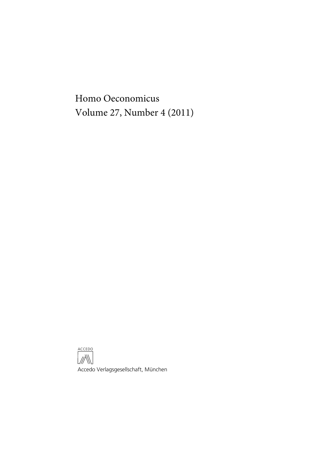Homo Oeconomicus Volume 27, Number 4 (2011)

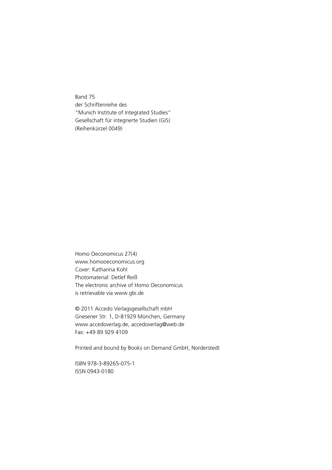Band 75 der Schriftenreihe des "Munich Institute of Integrated Studies" Gesellschaft für integrierte Studien (GIS) (Reihenkürzel 0049)

Homo Oeconomicus 27(4) www.homooeconomicus.org Cover: Katharina Kohl Photomaterial: Detlef Reiß The electronic archive of Homo Oeconomicus is retrievable via www.gbi.de

© 2011 Accedo Verlagsgesellschaft mbH Gnesener Str. 1, D-81929 München, Germany www.accedoverlag.de, accedoverlag@web.de Fax: +49 89 929 4109

Printed and bound by Books on Demand GmbH, Norderstedt

ISBN 978-3-89265-075-1 ISSN 0943-0180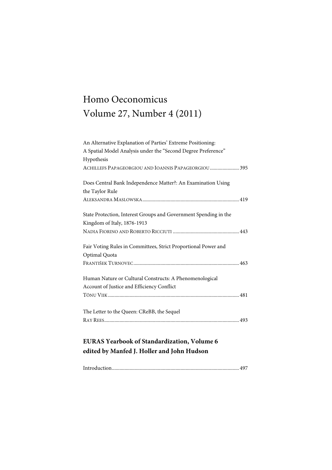# Homo Oeconomicus Volume 27, Number 4 (2011)

| An Alternative Explanation of Parties' Extreme Positioning:      |
|------------------------------------------------------------------|
| A Spatial Model Analysis under the "Second Degree Preference"    |
| Hypothesis                                                       |
| ACHILLEFS PAPAGEORGIOU AND IOANNIS PAPAGEORGIOU 395              |
| Does Central Bank Independence Matter?: An Examination Using     |
| the Taylor Rule                                                  |
|                                                                  |
| State Protection, Interest Groups and Government Spending in the |
| Kingdom of Italy, 1876-1913                                      |
|                                                                  |
| Fair Voting Rules in Committees, Strict Proportional Power and   |
| Optimal Quota                                                    |
|                                                                  |
| Human Nature or Cultural Constructs: A Phenomenological          |
| Account of Justice and Efficiency Conflict                       |
|                                                                  |
| The Letter to the Queen: CReBB, the Sequel                       |
|                                                                  |
| <b>EURAS Yearbook of Standardization, Volume 6</b>               |

## **edited by Manfed J. Holler and John Hudson**

|--|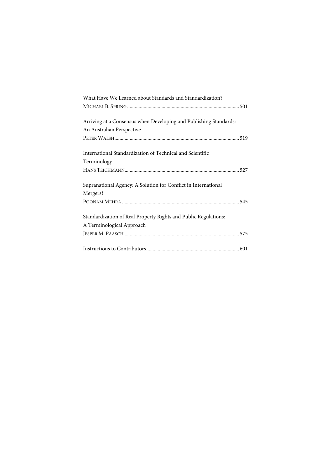| What Have We Learned about Standards and Standardization?         |
|-------------------------------------------------------------------|
|                                                                   |
| Arriving at a Consensus when Developing and Publishing Standards: |
| An Australian Perspective                                         |
|                                                                   |
| International Standardization of Technical and Scientific         |
| Terminology                                                       |
|                                                                   |
| Supranational Agency: A Solution for Conflict in International    |
| Mergers?                                                          |
|                                                                   |
| Standardization of Real Property Rights and Public Regulations:   |
| A Terminological Approach                                         |
|                                                                   |
|                                                                   |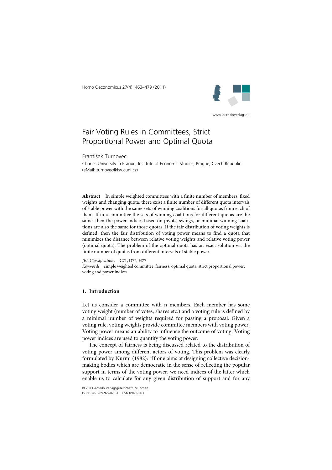Homo Oeconomicus 27(4): 463–479 (2011)



www.accedoverlag.de

### Fair Voting Rules in Committees, Strict Proportional Power and Optimal Quota

František Turnovec

Charles University in Prague, Institute of Economic Studies, Prague, Czech Republic (eMail: turnovec@fsv.cuni.cz)

**Abstract** In simple weighted committees with a finite number of members, fixed weights and changing quota, there exist a finite number of different quota intervals of stable power with the same sets of winning coalitions for all quotas from each of them. If in a committee the sets of winning coalitions for different quotas are the same, then the power indices based on pivots, swings, or minimal winning coalitions are also the same for those quotas. If the fair distribution of voting weights is defined, then the fair distribution of voting power means to find a quota that minimizes the distance between relative voting weights and relative voting power (optimal quota). The problem of the optimal quota has an exact solution via the finite number of quotas from different intervals of stable power.

*JEL Classifications* C71, D72, H77 *Keywords* simple weighted committee, fairness, optimal quota, strict proportional power, voting and power indices

### **1. Introduction**

Let us consider a committee with n members. Each member has some voting weight (number of votes, shares etc.) and a voting rule is defined by a minimal number of weights required for passing a proposal. Given a voting rule, voting weights provide committee members with voting power. Voting power means an ability to influence the outcome of voting. Voting power indices are used to quantify the voting power.

The concept of fairness is being discussed related to the distribution of voting power among different actors of voting. This problem was clearly formulated by Nurmi (1982): "If one aims at designing collective decisionmaking bodies which are democratic in the sense of reflecting the popular support in terms of the voting power, we need indices of the latter which enable us to calculate for any given distribution of support and for any

© 2011 Accedo Verlagsgesellschaft, München. ISBN 978-3-89265-075-1 ISSN 0943-0180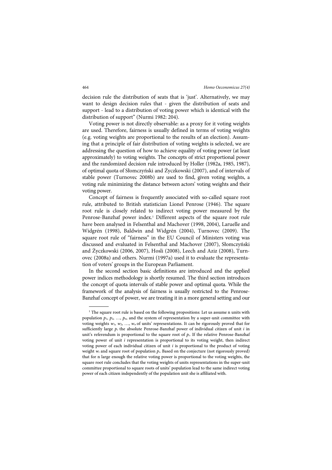decision rule the distribution of seats that is 'just'. Alternatively, we may want to design decision rules that - given the distribution of seats and support - lead to a distribution of voting power which is identical with the distribution of support" (Nurmi 1982: 204).

Voting power is not directly observable: as a proxy for it voting weights are used. Therefore, fairness is usually defined in terms of voting weights (e.g. voting weights are proportional to the results of an election). Assuming that a principle of fair distribution of voting weights is selected, we are addressing the question of how to achieve equality of voting power (at least approximately) to voting weights. The concepts of strict proportional power and the randomized decision rule introduced by Holler (1982a, 1985, 1987), of optimal quota of Słomczyński and Życzkowski (2007), and of intervals of stable power (Turnovec 2008b) are used to find, given voting weights, a voting rule minimizing the distance between actors' voting weights and their voting power.

Concept of fairness is frequently associated with so-called square root rule, attributed to British statistician Lionel Penrose (1946). The square root rule is closely related to indirect voting power measured by the Penrose-Banzhaf power index.<sup>1</sup> Different aspects of the square root rule have been analysed in Felsenthal and Machover (1998, 2004), Laruelle and Widgrén (1998), Baldwin and Widgrén (2004), Turnovec (2009). The square root rule of "fairness" in the EU Council of Ministers voting was discussed and evaluated in Felsenthal and Machover (2007), Słomczyński and Życzkowski (2006, 2007), Hosli (2008), Leech and Aziz (2008), Turnovec (2008a) and others. Nurmi (1997a) used it to evaluate the representation of voters' groups in the European Parliament.

In the second section basic definitions are introduced and the applied power indices methodology is shortly resumed. The third section introduces the concept of quota intervals of stable power and optimal quota. While the framework of the analysis of fairness is usually restricted to the Penrose-Banzhaf concept of power, we are treating it in a more general setting and our

 $\overline{a}$ 

<sup>&</sup>lt;sup>1</sup> The square root rule is based on the following propositions: Let us assume n units with population  $p_1, p_2, ..., p_n$ , and the system of representation by a super-unit committee with voting weights  $w_1, w_2, ..., w_n$  of units' representations. It can be rigorously proved that for sufficiently large  $p_i$  the absolute Penrose-Banzhaf power of individual citizen of unit i in unit's referendum is proportional to the square root of  $p_i$ . If the relative Penrose-Banzhaf voting power of unit  $i$  representation is proportional to its voting weight, then indirect voting power of each individual citizen of unit  $i$  is proportional to the product of voting weight  $w_i$  and square root of population  $p_i$ . Based on the conjecture (not rigorously proved) that for n large enough the relative voting power is proportional to the voting weights, the square root rule concludes that the voting weights of units representations in the super-unit committee proportional to square roots of units' population lead to the same indirect voting power of each citizen independently of the population unit she is affiliated with.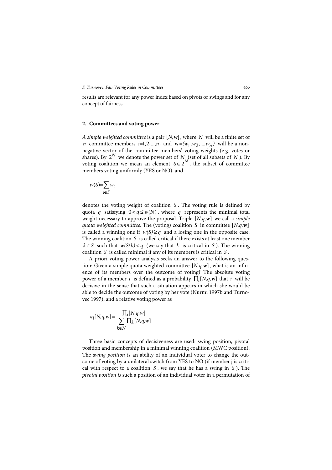results are relevant for any power index based on pivots or swings and for any concept of fairness.

#### **2. Committees and voting power**

*A simple weighted committee* is a pair  $[N, w]$ , where *N* will be a finite set of *n* committee members  $i=1,2,...,n$ , and  $\mathbf{w}=(w_1,w_2,...,w_n)$  will be a nonnegative vector of the committee members' voting weights (e.g. votes or shares). By  $2^N$  we denote the power set of *N* (set of all subsets of *N*). By voting coalition we mean an element  $S \in 2^N$ , the subset of committee members voting uniformly (YES or NO), and

$$
w(S) = \sum_{i \in S} w_i
$$

denotes the voting weight of coalition *S* . The voting rule is defined by quota *q* satisfying  $0 < q \leq w(N)$ , where *q* represents the minimal total weight necessary to approve the proposal. Triple [N,q,w] we call a *simple quota weighted committee.* The (voting) coalition *S* in committee [N,q,w] is called a winning one if  $w(S) \geq q$  and a losing one in the opposite case. The winning coalition *S* is called critical if there exists at least one member  $k \in S$  such that  $w(S\{k\}) < q$  (we say that *k* is critical in *S*). The winning coalition *S* is called minimal if any of its members is critical in *S* .

A priori voting power analysis seeks an answer to the following question: Given a simple quota weighted committee  $[N,q,\mathbf{w}]$ , what is an influence of its members over the outcome of voting? The absolute voting power of a member *i* is defined as a probability  $\prod_i [N, q, w]$  that *i* will be decisive in the sense that such a situation appears in which she would be able to decide the outcome of voting by her vote (Nurmi 1997b and Turnovec 1997), and a relative voting power as

$$
\pi_i[N,q,w] = \frac{\prod_i [N,q,w]}{\sum_{k \in N} \prod_k [N,q,w]}
$$

Three basic concepts of decisiveness are used: swing position, pivotal position and membership in a minimal winning coalition (MWC position). The s*wing position* is an ability of an individual voter to change the outcome of voting by a unilateral switch from YES to NO (if member j is critical with respect to a coalition *S* , we say that he has a swing in *S* ). The *pivotal position is* such a position of an individual voter in a permutation of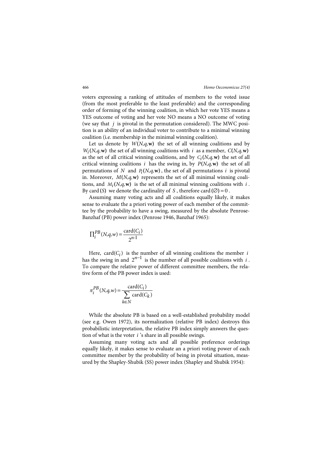voters expressing a ranking of attitudes of members to the voted issue (from the most preferable to the least preferable) and the corresponding order of forming of the winning coalition, in which her vote YES means a YES outcome of voting and her vote NO means a NO outcome of voting (we say that *j* is pivotal in the permutation considered). The MWC position is an ability of an individual voter to contribute to a minimal winning coalition (i.e. membership in the minimal winning coalition).

Let us denote by  $W(N,q,\mathbf{w})$  the set of all winning coalitions and by  $W_i(N,q,\mathbf{w})$  the set of all winning coalitions with *i* as a member,  $C(N,q,\mathbf{w})$ as the set of all critical winning coalitions, and by  $C_i(N,q,\mathbf{w})$  the set of all critical winning coalitions *i* has the swing in, by  $P(N,q,\mathbf{w})$  the set of all permutations of *N* and  $P_i(N,q,\mathbf{w})$ , the set of all permutations *i* is pivotal in. Moreover,  $M(N,q,\mathbf{w})$  represents the set of all minimal winning coalitions, and  $M_i(N,q,\mathbf{w})$  is the set of all minimal winning coalitions with *i*. By card (S) we denote the cardinality of S, therefore card  $(\emptyset) = 0$ .

Assuming many voting acts and all coalitions equally likely, it makes sense to evaluate the a priori voting power of each member of the committee by the probability to have a swing, measured by the absolute Penrose-Banzhaf (PB) power index (Penrose 1946, Banzhaf 1965):

$$
\Pi^{PB}_i(N,q,w)\!=\!\frac{\textrm{card}(C_i)}{2^{n\!-\!1}}
$$

Here,  $card(C_i)$  is the number of all winning coalitions the member *i* has the swing in and  $2^{n-1}$  is the number of all possible coalitions with *i*. To compare the relative power of different committee members, the relative form of the PB power index is used:

$$
\pi_i^{PB}(N, q, w) = \frac{\text{card}(C_i)}{\sum_{k \in N} \text{card}(C_k)}
$$

While the absolute PB is based on a well-established probability model (see e.g. Owen 1972), its normalization (relative PB index) destroys this probabilistic interpretation, the relative PB index simply answers the question of what is the voter *i* 's share in all possible swings.

Assuming many voting acts and all possible preference orderings equally likely, it makes sense to evaluate an a priori voting power of each committee member by the probability of being in pivotal situation, measured by the Shapley-Shubik (SS) power index (Shapley and Shubik 1954):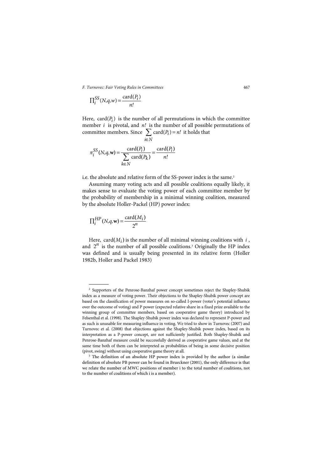$$
\Pi_i^{SS}(N,q,w) = \frac{\text{card}(P_i)}{n!}
$$

Here,  $card(P_i)$  is the number of all permutations in which the committee member *i* is pivotal, and *n!* is the number of all possible permutations of committee members. Since  $\sum$  card( $P_i$ )  $i \in N$  $card(P_i) = n!$ ∈  $\sum$  card( $P_i$ ) = n! it holds that

$$
\pi_i^{SS}(N, q, \mathbf{w}) = \frac{\operatorname{card}(P_i)}{\sum_{k \in N} \operatorname{card}(P_k)} = \frac{\operatorname{card}(P_i)}{n!}
$$

i.e. the absolute and relative form of the SS-power index is the same.<sup>2</sup>

Assuming many voting acts and all possible coalitions equally likely, it makes sense to evaluate the voting power of each committee member by the probability of membership in a minimal winning coalition, measured by the absolute Holler-Packel (HP) power index:

$$
\Pi_i^{HP}(N,q,\mathbf{w}) = \frac{\operatorname{card}(M_i)}{2^n}
$$

 $\overline{a}$ 

Here,  $card(M_i)$  is the number of all minimal winning coalitions with *i*, and  $2^n$  is the number of all possible coalitions.<sup>3</sup> Originally the HP index was defined and is usually being presented in its relative form (Holler 1982b, Holler and Packel 1983)

<sup>2</sup> Supporters of the Penrose-Banzhaf power concept sometimes reject the Shapley-Shubik index as a measure of voting power. Their objections to the Shapley-Shubik power concept are based on the classification of power measures on so-called I-power (voter's potential influence over the outcome of voting) and P power (expected relative share in a fixed prize available to the winning group of committee members, based on cooperative game theory) introduced by Felsenthal et al. (1998). The Shapley-Shubik power index was declared to represent P-power and as such is unusable for measuring influence in voting. We tried to show in Turnovec (2007) and Turnovec et al. (2008) that objections against the Shapley-Shubik power index, based on its interpretation as a P-power concept, are not sufficiently justified. Both Shapley-Shubik and Penrose-Banzhaf measure could be successfully derived as cooperative game values, and at the same time both of them can be interpreted as probabilities of being in some decisive position (pivot, swing) without using cooperative game theory at all.

<sup>&</sup>lt;sup>3</sup> The definition of an absolute HP power index is provided by the author (a similar definition of absolute PB power can be found in Brueckner (2001), the only difference is that we relate the number of MWC positions of member i to the total number of coalitions, not to the number of coalitions of which i is a member).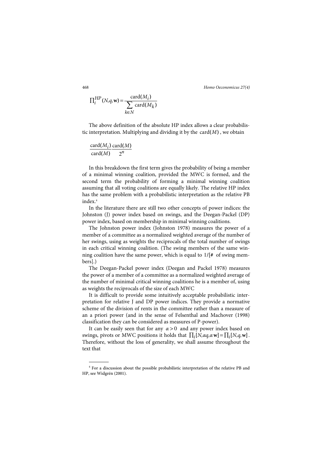468 *Homo Oeconomicus 27(4)*

$$
\Pi_i^{HP}(N, q, \mathbf{w}) = \frac{\text{card}(M_i)}{\sum_{k \in N} \text{card}(M_k)}
$$

The above definition of the absolute HP index allows a clear probabilistic interpretation. Multiplying and dividing it by the  $card(M)$ , we obtain

$$
\frac{\operatorname{card}(M_i)}{\operatorname{card}(M)} \frac{\operatorname{card}(M)}{2^n}
$$

In this breakdown the first term gives the probability of being a member of a minimal winning coalition, provided the MWC is formed, and the second term the probability of forming a minimal winning coalition assuming that all voting coalitions are equally likely. The relative HP index has the same problem with a probabilistic interpretation as the relative PB index.<sup>4</sup>

In the literature there are still two other concepts of power indices: the Johnston (J) power index based on swings, and the Deegan-Packel (DP) power index, based on membership in minimal winning coalitions.

The Johnston power index (Johnston 1978) measures the power of a member of a committee as a normalized weighted average of the number of her swings, using as weights the reciprocals of the total number of swings in each critical winning coalition. (The swing members of the same winning coalition have the same power, which is equal to 1**/[#** of swing members].)

The Deegan-Packel power index (Deegan and Packel 1978) measures the power of a member of a committee as a normalized weighted average of the number of minimal critical winning coalitions he is a member of, using as weights the reciprocals of the size of each MWC

It is difficult to provide some intuitively acceptable probabilistic interpretation for relative J and DP power indices. They provide a normative scheme of the division of rents in the committee rather than a measure of an a priori power (and in the sense of Felsenthal and Machover (1998) classification they can be considered as measures of P-power).

It can be easily seen that for any  $\alpha > 0$  and any power index based on swings, pivots or MWC positions it holds that  $\Pi_i[N,\alpha a,\alpha w] = \Pi_i[N,a,w]$ . Therefore, without the loss of generality, we shall assume throughout the text that

 $\overline{a}$ 

<sup>4</sup> For a discussion about the possible probabilistic interpretation of the relative PB and HP, see Widgrén (2001).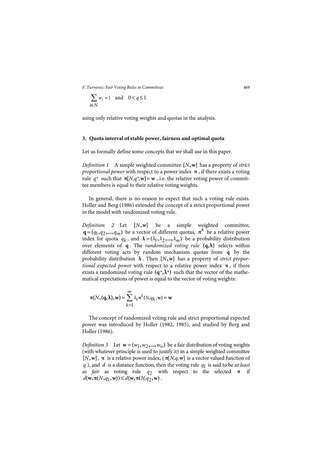$$
\sum_{i \in N} w_i = 1 \quad \text{and} \quad 0 < q \le 1
$$

using only relative voting weights and quotas in the analysis.

#### **3. Quota interval of stable power, fairness and optimal quota**

Let us formally define some concepts that we shall use in this paper.

*Definition 1* A simple weighted committee [N, w] has a property of *strict proportional power* with respect to a power index **π** , if there exists a voting rule  $q^*$  such that  $\pi[N,q^*,w] = w$ , i.e. the relative voting power of committee members is equal to their relative voting weights.

In general, there is no reason to expect that such a voting rule exists. Holler and Berg (1986) extended the concept of a strict proportional power in the model with randomized voting rule.

*Definition 2* Let [N,w] be a simple weighted committee,  $\mathbf{q} = (q_1, q_2, \dots, q_m)$  be a vector of different quotas,  $\pi^k$  be a relative power index for quota  $q_k$ , and  $\lambda = (\lambda_1, \lambda_2, ..., \lambda_m)$  be a probability distribution over elements of **q** . The *randomized voting rule* **(q,λ)** selects within different voting acts by random mechanism quotas from **q** by the probability distribution λ. Then [N,w] has a property of *strict proportional expected power* with respect to a relative power index  $\pi$ , if there exists a randomized voting rule  $(q^*, \lambda^*)$  such that the vector of the mathematical expectations of power is equal to the vector of voting weights:

$$
\pi(N, (\mathbf{q}, \lambda), \mathbf{w}) = \sum_{k=1}^{m} \lambda_k \pi^k(N, q_k, \mathbf{w}) = \mathbf{w}
$$

The concept of randomized voting rule and strict proportional expected power was introduced by Holler (1982, 1985), and studied by Berg and Holler (1986).

*Definition 3* Let  $\mathbf{w} = (w_1, w_2, ..., w_n)$  be a fair distribution of voting weights (with whatever principle is used to justify it) in a simple weighted committee  $[N, w]$ ,  $\pi$  is a relative power index,  $(\pi[N, q, w])$  is a vector valued function of *q* ), and *d* is a distance function, then the voting rule *q*1 is said to be *at least as fair* as voting rule *q*2 with respect to the selected **π** if  $d(w, \pi(N, q_1, w)) \leq d(w, \pi(N, q_2, w))$ .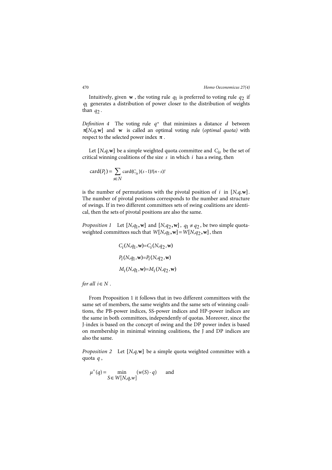Intuitively, given  $w$ , the voting rule  $q_1$  is preferred to voting rule  $q_2$  if *q*1 generates a distribution of power closer to the distribution of weights than *q*2 .

*Definition 4* The voting rule *q\** that minimizes a distance *d* between **π**[N,q,w] and **w** is called an optimal voting rule (*optimal quota*) with respect to the selected power index  $\boldsymbol{\pi}$  .

Let  $[N, q, w]$  be a simple weighted quota committee and  $C_{is}$  be the set of critical winning coalitions of the size *s* in which *i* has a swing, then

$$
\mathrm{card}(P_i)=\sum_{s\in N}\mathrm{card}(C_{is})(s\,\text{-}\,)! (n\,\text{-}\,s)!
$$

is the number of permutations with the pivotal position of  $i$  in  $[N,q,\mathbf{w}]$ . The number of pivotal positions corresponds to the number and structure of swings. If in two different committees sets of swing coalitions are identical, then the sets of pivotal positions are also the same.

*Proposition 1* Let  $[N, q_1, w]$  and  $[N, q_2, w]$ ,  $q_1 \neq q_2$ , be two simple quotaweighted committees such that  $W[N,q_1,\mathbf{w}] = W[N,q_2,\mathbf{w}]$ , then

$$
C_i(N, q_1, w) = C_i(N, q_2, w)
$$
  
P<sub>i</sub>(N, q<sub>1</sub>, w) = P<sub>i</sub>(N, q<sub>2</sub>, w)  
M<sub>i</sub>(N, q<sub>1</sub>, w) = M<sub>i</sub>(N, q<sub>2</sub>, w)

*for all*  $i \in N$ .

From Proposition 1 it follows that in two different committees with the same set of members, the same weights and the same sets of winning coalitions, the PB-power indices, SS-power indices and HP-power indices are the same in both committees, independently of quotas. Moreover, since the J-index is based on the concept of swing and the DP power index is based on membership in minimal winning coalitions, the J and DP indices are also the same.

*Proposition 2* Let [*N,q,w*] be a simple quota weighted committee with a quota *q* ,

$$
\mu^+(q) = \min_{S \in W[N,q,w]} (w(S) - q) \quad \text{and} \quad
$$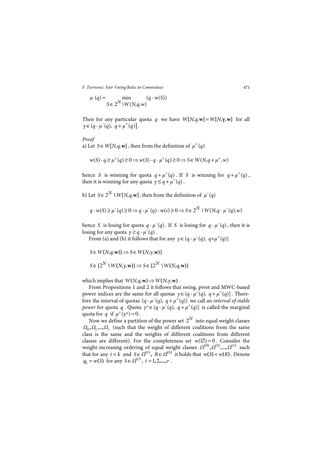$$
\mu^-(q) = \min_{S \in 2^N \setminus W(N,q,w)} (q \cdot w(S))
$$

Then for any particular quota *q* we have  $W[N,q,\mathbf{w}] = W[N,\gamma,\mathbf{w}]$  for all  $\gamma \in (q - \mu^-(q), q + \mu^+(q)].$ 

*Proof*

a) Let  $S \in W[N,q,\mathbf{w}]$ , then from the definition of  $\mu^+(q)$ 

$$
w(S) - q \ge \mu^+(q) \ge 0 \Longrightarrow w(S) - q - \mu^+(q) \ge 0 \Longrightarrow S \in W(N, q + \mu^+, w)
$$

hence *S* is winning for quota  $q + \mu^+(q)$ . If *S* is winning for  $q + \mu^+(q)$ , then it is winning for any quota  $y \leq q + \mu^+(q)$ .

b) Let  $S \in 2^N \setminus W[N,q,\mathbf{w}]$ , then from the definition of  $\mu^-(q)$ 

$$
q \cdot w(S) \ge \mu^-(q) \ge 0 \Rightarrow q \cdot \mu^-(q) \cdot w(s) \ge 0 \Rightarrow S \in 2^N \setminus W(N, q \cdot \mu^-(q), w)
$$

hence *S* is losing for quota  $q - \mu^-(q)$ . If *S* is losing for  $q - \mu^-(q)$ , then it is losing for any quota  $y \geq q - \mu^{-1}(q)$ .

From (a) and (b) it follows that for any  $\gamma \in (q - \mu^{-1}(q), q + \mu^{+}(q))$ 

$$
S \in W(N, q, \mathbf{w}) \Rightarrow S \in W(N, \gamma, \mathbf{w})
$$

$$
S \in \{2^N \setminus W(N, \gamma, \mathbf{w})\} \Rightarrow S \in \{2^N \setminus W(N, q, \mathbf{w})\}
$$

which implies that  $W(N,q,\mathbf{w}) \Rightarrow W(N,\gamma,\mathbf{w})$ .

From Propositions 1 and 2 it follows that swing, pivot and MWC-based power indices are the same for all quotas  $\gamma \in (q - \mu^{-1}(q), q + \mu^{+}(q))$ . Therefore the interval of quotas  $(q - \mu^T(q), q + \mu^+(q))$  we call an *interval of stable power* for quota q. Quota  $y^* \in (q - \mu^-(q), q + \mu^+(q))$  is called the marginal quota for  $q$  if  $\mu^+(\gamma^*) = 0$ .

Now we define a partition of the power set  $2^N$  into equal weight classes  $\Omega_0, \Omega_1, ..., \Omega_r$  (such that the weight of different coalitions from the same class is the same and the weights of different coalitions from different classes are different). For the completeness set  $w(\emptyset) = 0$ . Consider the weight-increasing ordering of equal weight classes  $\Omega^{(0)}, \Omega^{(1)}, ..., \Omega^{(r)}$  such that for any  $t < k$  and  $S \in \Omega^{(t)}$ ,  $R \in \Omega^{(k)}$  it holds that  $w(S) < w(R)$ . Denote  $q_t = w(S)$  for any  $S \in \Omega^{(t)}$ ,  $t = 1, 2, ..., r$ .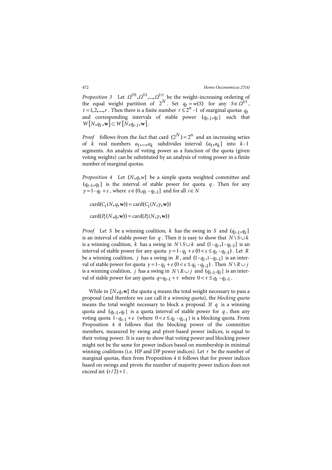*Proposition* 3 Let  $\Omega^{(0)}, \Omega^{(1)}, \dots, \Omega^{(r)}$  be the weight-increasing ordering of the equal weight partition of  $2^N$ . Set  $q_t = w(S)$  for any  $S \in \Omega^{(t)}$ ,  $t = 1, 2, ..., r$ . Then there is a finite number  $r \le 2^n - 1$  of marginal quotas  $q_t$ and corresponding intervals of stable power  $(q_{t-1}, q_t]$  such that  $W[N, q_t, w] \subset W[N, q_{t-1}, w]$ .

*Proof* follows from the fact that card  $(2^N) = 2^n$  and an increasing series of *k* real numbers  $a_1, \ldots, a_k$  subdivides interval  $(a_1, a_k]$  into  $k-1$ segments. An analysis of voting power as a function of the quota (given voting weights) can be substituted by an analysis of voting power in a finite number of marginal quotas.

*Proposition 4* Let  $(N, q, w]$  be a simple quota weighted committee and  $(q_{t-1}, q_t]$  is the interval of stable power for quota  $q$ . Then for any  $\gamma = 1 - q_t + \varepsilon$ , where  $\varepsilon \in (0, q_t - q_{t-1}]$  and for all  $i \in N$ 

 $card(C_i(N, q, \mathbf{w})) = card(C_i(N, \gamma, \mathbf{w}))$  $card(P_i(N, q, w)) = card(P_i(N, \gamma, w))$ 

*Proof* Let *S* be a winning coalition, *k* has the swing in *S* and  $(q_{t-1}, q_t]$ is an interval of stable power for *q*. Then it is easy to show that  $N \setminus S \cup k$ is a winning coalition, *k* has a swing in  $N \setminus S \cup k$  and  $(1 - q_t, 1 - q_{t-1}]$  is an interval of stable power for any quota  $\gamma = 1 - q_t + \varepsilon (0 < \varepsilon \le q_t - q_{t-1})$ . Let *R* be a winning coalition,  $j$  has a swing in  $R$ , and  $(1 - q_t, 1 - q_{t-1}]$  is an interval of stable power for quota  $\gamma = 1 - q_t + \varepsilon (0 < \varepsilon \le q_t - q_{t-1})$ . Then  $N \setminus R \cup j$ is a winning coalition, *j* has a swing in  $N \setminus R \cup j$  and  $(q_{t-1}, q_t]$  is an interval of stable power for any quota  $q = q_{t-1} + \tau$  where  $0 < \tau \leq q_t - q_{t-1}$ .

While in  $[N, q, w]$  the quota q means the total weight necessary to pass a proposal (and therefore we can call it a *winning quota*), the *blocking quota* means the total weight necessary to block a proposal. If *q* is a winning quota and  $(q_{t-1}, q_t]$  is a quota interval of stable power for  $q$ , then any voting quota  $1 - q_{t-1} + \varepsilon$  (where  $0 < \varepsilon \leq q_t - q_{t-1}$ ) is a blocking quota. From Proposition 4 it follows that the blocking power of the committee members, measured by swing and pivot-based power indices, is equal to their voting power. It is easy to show that voting power and blocking power might not be the same for power indices based on membership in minimal winning coalitions (i.e. HP and DP power indices). Let  $r$  be the number of marginal quotas, then from Proposition 4 it follows that for power indices based on swings and pivots the number of majority power indices does not exceed int  $(r/2) + 1$ .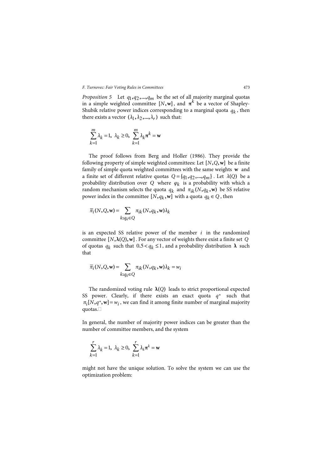*Proposition 5* Let  $q_1, q_2, \ldots, q_m$  be the set of all majority marginal quotas in a simple weighted committee  $[N, w]$ , and  $\pi^k$  be a vector of Shapley-Shubik relative power indices corresponding to a marginal quota  $q_k$ , then there exists a vector  $(\lambda_1, \lambda_2, ..., \lambda_r)$  such that:

$$
\sum_{k=1}^{m} \lambda_k = 1, \ \lambda_k \ge 0, \ \sum_{k=1}^{m} \lambda_k \pi^k = \mathbf{w}
$$

The proof follows from Berg and Holler (1986). They provide the following property of simple weighted committees: Let  $[N, Q, w]$  be a finite family of simple quota weighted committees with the same weights **w** and a finite set of different relative quotas  $Q = \{q_1, q_2, ..., q_m\}$ . Let  $\lambda(Q)$  be a probability distribution over *Q* where *φ<sup>k</sup>* is a probability with which a random mechanism selects the quota  $q_k$  and  $\pi_{ik}(N, q_k, \mathbf{w})$  be SS relative power index in the committee  $[N, q_k, w]$  with a quota  $q_k \in Q$ , then

$$
\overline{\pi}_i(N,Q,{\bf w})\!=\!\sum\limits_{k:q_k\in Q}\pi_{ik}(N,q_k,{\bf w})\lambda_k
$$

is an expected SS relative power of the member *i* in the randomized committee  $[N, \lambda(Q), w]$ . For any vector of weights there exist a finite set *Q* of quotas  $q_k$  such that  $0.5 < q_k \leq 1$ , and a probability distribution  $\lambda$  such that

$$
\overline{\pi}_i(N, Q, \mathbf{w}) = \sum_{k: q_k \in Q} \pi_{ik}(N, q_k, \mathbf{w}) \lambda_k = w_i
$$

The randomized voting rule  $\lambda$ (*Q*) leads to strict proportional expected SS power. Clearly, if there exists an exact quota  $q^*$  such that  $\pi_i[N, q^*, \mathbf{w}] = w_i$ , we can find it among finite number of marginal majority quotas.

In general, the number of majority power indices can be greater than the number of committee members, and the system

$$
\sum_{k=1}^{r} \lambda_k = 1, \ \lambda_k \ge 0, \ \sum_{k=1}^{r} \lambda_k \pi^k = \mathbf{w}
$$

might not have the unique solution. To solve the system we can use the optimization problem: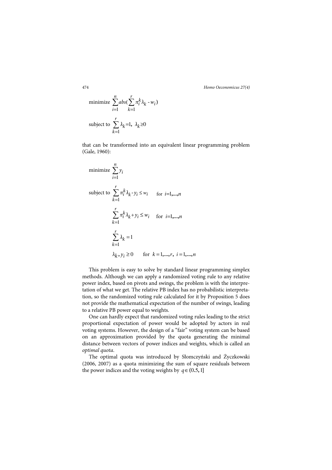474 *Homo Oeconomicus 27(4)*

minimize 
$$
\sum_{i=1}^{n} abs(\sum_{k=1}^{r} \pi_i^k \lambda_k - w_i)
$$
  
subject to  $\sum_{k=1}^{r} \lambda_k = 1, \lambda_k \ge 0$ 

that can be transformed into an equivalent linear programming problem (Gale, 1960):

minimize 
$$
\sum_{i=1}^{n} y_i
$$
  
\nsubject to  $\sum_{k=1}^{r} \pi_i^k \lambda_k - y_i \le w_i$  for  $i=1,...,n$   
\n $\sum_{k=1}^{r} \pi_i^k \lambda_k + y_i \le w_i$  for  $i=1,...,n$   
\n $\sum_{k=1}^{r} \lambda_k = 1$   
\n $\lambda_k, y_i \ge 0$  for  $k=1,...,r, i=1,...,n$ 

This problem is easy to solve by standard linear programming simplex methods. Although we can apply a randomized voting rule to any relative power index, based on pivots and swings, the problem is with the interpretation of what we get. The relative PB index has no probabilistic interpretation, so the randomized voting rule calculated for it by Proposition 5 does not provide the mathematical expectation of the number of swings, leading to a relative PB power equal to weights.

One can hardly expect that randomized voting rules leading to the strict proportional expectation of power would be adopted by actors in real voting systems. However, the design of a "fair" voting system can be based on an approximation provided by the quota generating the minimal distance between vectors of power indices and weights, which is called an *optimal quota*.

The optimal quota was introduced by Słomczyński and Życzkowski (2006, 2007) as a quota minimizing the sum of square residuals between the power indices and the voting weights by  $q \in (0.5, 1]$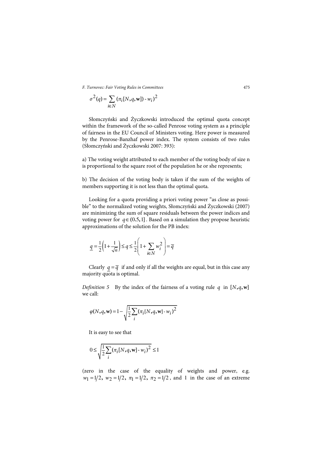$$
\sigma^{2}(q) = \sum_{i \in N} (\pi_i[N,q,\mathbf{w}]) \cdot w_i)^2
$$

Słomczyński and Życzkowski introduced the optimal quota concept within the framework of the so-called Penrose voting system as a principle of fairness in the EU Council of Ministers voting. Here power is measured by the Penrose-Banzhaf power index. The system consists of two rules (Słomczyński and Życzkowski 2007: 393):

a) The voting weight attributed to each member of the voting body of size n is proportional to the square root of the population he or she represents;

b) The decision of the voting body is taken if the sum of the weights of members supporting it is not less than the optimal quota.

Looking for a quota providing a priori voting power "as close as possible" to the normalized voting weights, Słomczyński and Życzkowski (2007) are minimizing the sum of square residuals between the power indices and voting power for  $q \in (0.5, 1]$ . Based on a simulation they propose heuristic approximations of the solution for the PB index:

$$
\underline{q} = \frac{1}{2} \left( 1 + \frac{1}{\sqrt{n}} \right) \le q \le \frac{1}{2} \left( 1 + \sum_{i \in N} w_i^2 \right) = \overline{q}
$$

Clearly  $q = \overline{q}$  if and only if all the weights are equal, but in this case any majority quota is optimal.

*Definition 5* By the index of the fairness of a voting rule q in  $[N,q,\mathbf{w}]$ we call:

$$
\varphi(N, q, w) = 1 - \sqrt{\frac{1}{2} \sum_{i} (\pi_i[N, q, w] \cdot w_i)^2}
$$

It is easy to see that

$$
0 \le \sqrt{\frac{1}{2} \sum_{i} (\pi_i [N, q, \mathbf{w}] - w_i)^2} \le 1
$$

(zero in the case of the equality of weights and power, e.g.  $w_1 = 1/2$ ,  $w_2 = 1/2$ ,  $\pi_1 = 1/2$ ,  $\pi_2 = 1/2$ , and 1 in the case of an extreme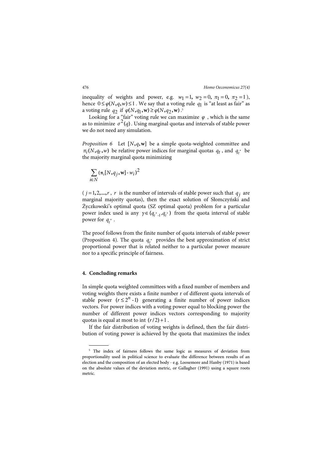inequality of weights and power, e.g.  $w_1 = 1$ ,  $w_2 = 0$ ,  $\pi_1 = 0$ ,  $\pi_2 = 1$ ), hence  $0 \le \varphi(N, q, w) \le 1$ . We say that a voting rule  $q_1$  is "at least as fair" as a voting rule  $q_2$  if  $\varphi(N, q_1, w) \ge \varphi(N, q_2, w)$ .<sup>5</sup>

Looking for a "fair" voting rule we can maximize  $\varphi$ , which is the same as to minimize  $\sigma^2(q)$ . Using marginal quotas and intervals of stable power we do not need any simulation.

*Proposition 6* Let [N,q,w] be a simple quota-weighted committee and  $\pi_i(N, q_t, w)$  be relative power indices for marginal quotas  $q_t$ , and  $q_t^*$  be the majority marginal quota minimizing

$$
\sum_{i\in N}(\pi_{\rm i}[N,q_j,{\bf w}]\cdot w_i)^2
$$

 $(j=1,2,...,r, r$  is the number of intervals of stable power such that  $q_j$  are marginal majority quotas), then the exact solution of Słomczyński and Życzkowski's optimal quota (SZ optimal quota) problem for a particular power index used is any  $\gamma \in (q_{t-1}, q_t)$  from the quota interval of stable power for  $q_t^*$ .

The proof follows from the finite number of quota intervals of stable power (Proposition 4). The quota  $q_t^*$  provides the best approximation of strict proportional power that is related neither to a particular power measure nor to a specific principle of fairness.

#### **4. Concluding remarks**

 $\overline{a}$ 

In simple quota weighted committees with a fixed number of members and voting weights there exists a finite number r of different quota intervals of stable power  $(r \leq 2^n - 1)$  generating a finite number of power indices vectors. For power indices with a voting power equal to blocking power the number of different power indices vectors corresponding to majority quotas is equal at most to int  $(r/2) + 1$ .

If the fair distribution of voting weights is defined, then the fair distribution of voting power is achieved by the quota that maximizes the index

<sup>&</sup>lt;sup>5</sup> The index of fairness follows the same logic as measures of deviation from proportionality used in political science to evaluate the difference between results of an election and the composition of an elected body - e.g. Loosemore and Hanby (1971) is based on the absolute values of the deviation metric, or Gallagher (1991) using a square roots metric.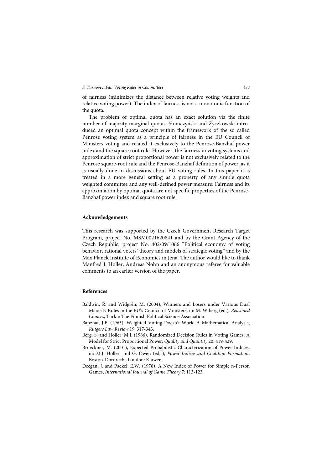of fairness (minimizes the distance between relative voting weights and relative voting power). The index of fairness is not a monotonic function of the quota.

The problem of optimal quota has an exact solution via the finite number of majority marginal quotas. Słomczyński and Życzkowski introduced an optimal quota concept within the framework of the so called Penrose voting system as a principle of fairness in the EU Council of Ministers voting and related it exclusively to the Penrose-Banzhaf power index and the square root rule. However, the fairness in voting systems and approximation of strict proportional power is not exclusively related to the Penrose square-root rule and the Penrose-Banzhaf definition of power, as it is usually done in discussions about EU voting rules. In this paper it is treated in a more general setting as a property of any simple quota weighted committee and any well-defined power measure. Fairness and its approximation by optimal quota are not specific properties of the Penrose-Banzhaf power index and square root rule.

#### **Acknowledgements**

This research was supported by the Czech Government Research Target Program, project No. MSM0021620841 and by the Grant Agency of the Czech Republic, project No. 402/09/1066 "Political economy of voting behavior, rational voters' theory and models of strategic voting" and by the Max Planck Institute of Economics in Jena. The author would like to thank Manfred J. Holler, Andreas Nohn and an anonymous referee for valuable comments to an earlier version of the paper.

#### **References**

- Baldwin, R. and Widgrén, M. (2004), Winners and Losers under Various Dual Majority Rules in the EU's Council of Ministers, in: M. Wiberg (ed.), *Reasoned Choices*, Turku: The Finnish Political Science Association.
- Banzhaf, J.F. (1965), Weighted Voting Doesn't Work: A Mathematical Analysis, *Rutgers Law Review* 19: 317-343.
- Berg, S. and Holler, M.J. (1986), Randomized Decision Rules in Voting Games: A Model for Strict Proportional Power, *Quality and Quantity* 20: 419-429.
- Brueckner, M. (2001), Expected Probabilistic Characterization of Power Indices, in: M.J. Holler. and G. Owen (eds.), *Power Indices and Coalition Formation*, Boston-Dordrecht-London: Kluwer.
- Deegan, J. and Packel, E.W. (1978), A New Index of Power for Simple n-Person Games, *International Journal of Game Theory* 7: 113-123.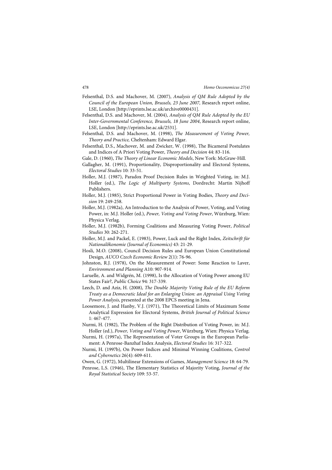- Felsenthal, D.S. and Machover, M. (2007), *Analysis of QM Rule Adopted by the Council of the European Union, Brussels, 23 June 2007,* Research report online, LSE, London [http://eprints.lse.ac.uk/archive0000431].
- Felsenthal, D.S. and Machover, M. (2004), *Analysis of QM Rule Adopted by the EU Inter-Governmental Conference, Brussels, 18 June 2004*, Research report online, LSE, London [http://eprints.lse.ac.uk/2531].
- Felsenthal, D.S. and Machover, M. (1998), *The Measurement of Voting Power, Theory and Practice,* Cheltenham: Edward Elgar.
- Felsenthal, D.S., Machover, M. and Zwicker, W. (1998), The Bicameral Postulates and Indices of A Priori Voting Power, *Theory and Decision* 44: 83-116.
- Gale, D. (1960), *The Theory of Linear Economic Models*, New York: McGraw-Hill.
- Gallagher, M. (1991), Proportionality, Disproportionality and Electoral Systems, *Electoral Studies* 10: 33-51.
- Holler, M.J. (1987), Paradox Proof Decision Rules in Weighted Voting, in: M.J. Holler (ed.), *The Logic of Multiparty Systems*, Dordrecht: Martin Nijhoff Publishers.
- Holler, M.J. (1985), Strict Proportional Power in Voting Bodies, *Theory and Decision* 19: 249-258.
- Holler, M.J. (1982a), An Introduction to the Analysis of Power, Voting, and Voting Power, in: M.J. Holler (ed.), *Power, Voting and Voting Power*, Würzburg, Wien: Physica Verlag.
- Holler, M.J. (1982b), Forming Coalitions and Measuring Voting Power, *Political Studies* 30: 262-271.
- Holler, M.J. and Packel, E. (1983), Power, Luck and the Right Index, *Zeitschrift für Nationalőkonomie (Journal of Economics)* 43: 21-29.
- Hosli, M.O. (2008), Council Decision Rules and European Union Constitutional Design, *AUCO Czech Economic Review* 2(1): 76-96.
- Johnston, R.J. (1978), On the Measurement of Power: Some Reaction to Laver, *Environment and Planning* A10: 907-914.
- Laruelle, A. and Widgrén, M. (1998), Is the Allocation of Voting Power among EU States Fair?, *Public Choice* 94: 317-339.
- Leech, D. and Aziz, H. (2008), *The Double Majority Voting Rule of the EU Reform Treaty as a Democratic Ideal for an Enlarging Union: an Appraisal Using Voting Power Analysis*, presented at the 2008 EPCS meeting in Jena.
- Loosemore, J. and Hanby, V.J. (1971), The Theoretical Limits of Maximum Some Analytical Expression for Electoral Systems, *British Journal of Political Science* 1: 467-477.
- Nurmi, H. (1982), The Problem of the Right Distribution of Voting Power, in: M.J. Holler (ed.), *Power, Voting and Voting Power*, Würzburg, Wien: Physica Verlag.
- Nurmi, H. (1997a), The Representation of Voter Groups in the European Parliament: A Penrose-Banzhaf Index Analysis, *Electoral Studies* 16: 317-322.
- Nurmi, H. (1997b), On Power Indices and Minimal Winning Coalitions, *Control and Cybernetics* 26(4): 609-611.
- Owen, G. (1972), Multilinear Extensions of Games, *Management Science* 18: 64-79.
- Penrose, L.S. (1946), The Elementary Statistics of Majority Voting, *Journal of the Royal Statistical Society* 109: 53-57.